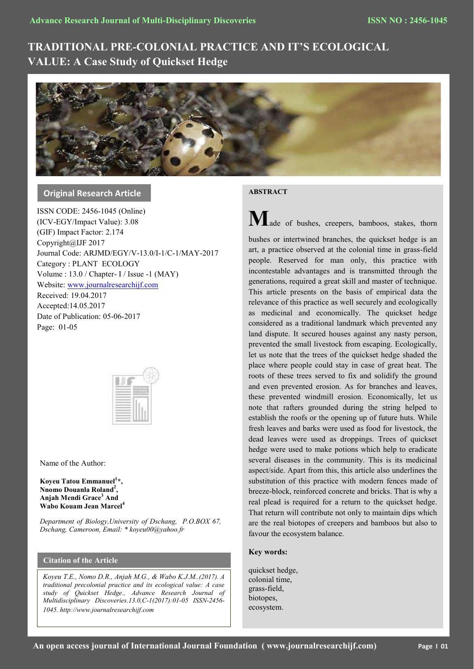# **TRADITIONAL PRE-COLONIAL PRACTICE AND IT'S ECOLOGICAL VALUE: A Case Study of Quickset Hedge**



**Original Research Article**

ISSN CODE: 2456-1045 (Online) (ICV-EGY/Impact Value): 3.08 (GIF) Impact Factor: 2.174 Copyright@IJF 2017 Journal Code: ARJMD/EGY/V-13.0/I-1/C-1/MAY-2017 Category : PLANT ECOLOGY Volume : 13.0 / Chapter- I / Issue -1 (MAY) Website[: www.journalresearchijf.com](http://www.journalresearchijf.com/) Received: 19.04.2017 Accepted:14.05.2017 Date of Publication: 05-06-2017 Page: 01-05



Name of the Author:

**Koyeu Tatou Emmanuel<sup>1</sup> \*, Nnomo Douanla Roland<sup>2</sup> , Anjah Mendi Grace<sup>3</sup> And Wabo Kouam Jean Marcel<sup>4</sup>**

*Department of Biology,University of Dschang, P.O.BOX 67, Dschang, Cameroon, Email: \* koyeu00@yahoo.fr*

# **Citation of the Article**

*Koyeu T.E., Nomo D.R., Anjah M.G., & Wabo K.J.M..(2017). A traditional precolonial practice and its ecological value: A case study of Quickset Hedge., Advance Research Journal of Multidisciplinary Discoveries.13.0,C-1(2017):01-05 ISSN-2456- 1045. http://www.journalresearchijf.com***e;**

## **ABSTRACT**

M<sub>ade of bushes, creepers, bamboos, stakes, thorn</sub>

bushes or intertwined branches, the quickset hedge is an art, a practice observed at the colonial time in grass-field people. Reserved for man only, this practice with incontestable advantages and is transmitted through the generations, required a great skill and master of technique. This article presents on the basis of empirical data the relevance of this practice as well securely and ecologically as medicinal and economically. The quickset hedge considered as a traditional landmark which prevented any land dispute. It secured houses against any nasty person, prevented the small livestock from escaping. Ecologically, let us note that the trees of the quickset hedge shaded the place where people could stay in case of great heat. The roots of these trees served to fix and solidify the ground and even prevented erosion. As for branches and leaves, these prevented windmill erosion. Economically, let us note that rafters grounded during the string helped to establish the roofs or the opening up of future huts. While fresh leaves and barks were used as food for livestock, the dead leaves were used as droppings. Trees of quickset hedge were used to make potions which help to eradicate several diseases in the community. This is its medicinal aspect/side. Apart from this, this article also underlines the substitution of this practice with modern fences made of breeze-block, reinforced concrete and bricks. That is why a real plead is required for a return to the quickset hedge. That return will contribute not only to maintain dips which are the real biotopes of creepers and bamboos but also to favour the ecosystem balance.

## **Key words:**

quickset hedge, colonial time, grass-field, biotopes, ecosystem.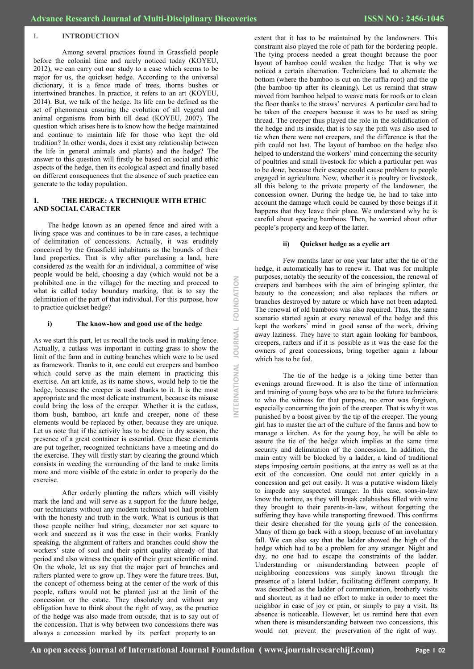#### **I. INTRODUCTION**

Among several practices found in Grassfield people before the colonial time and rarely noticed today (KOYEU, 2012), we can carry out our study to a case which seems to be major for us, the quickset hedge. According to the universal dictionary, it is a fence made of trees, thorns bushes or intertwined branches. In practice, it refers to an art (KOYEU, 2014). But, we talk of the hedge. Its life can be defined as the set of phenomena ensuring the evolution of all vegetal and animal organisms from birth till dead (KOYEU, 2007). The question which arises here is to know how the hedge maintained and continue to maintain life for those who kept the old tradition? In other words, does it exist any relationship between the life in general animals and plants) and the hedge? The answer to this question will firstly be based on social and ethic aspects of the hedge, then its ecological aspect and finally based on different consequences that the absence of such practice can generate to the today population.

## **1. THE HEDGE: A TECHNIQUE WITH ETHIC AND SOCIAL CARACTER**

The hedge known as an opened fence and aired with a living space was and continues to be in rare cases, a technique of delimitation of concessions. Actually, it was eruditely conceived by the Grassfield inhabitants as the bounds of their land properties. That is why after purchasing a land, here considered as the wealth for an individual, a committee of wise people would be held, choosing a day (which would not be a prohibited one in the village) for the meeting and proceed to what is called today boundary marking, that is to say the delimitation of the part of that individual. For this purpose, how to practice quickset hedge?

#### **i) The know-how and good use of the hedge**

As we start this part, let us recall the tools used in making fence. Actually, a cutlass was important in cutting grass to show the limit of the farm and in cutting branches which were to be used as framework. Thanks to it, one could cut creepers and bamboo which could serve as the main element in practicing this exercise. An art knife, as its name shows, would help to tie the hedge, because the creeper is used thanks to it. It is the most appropriate and the most delicate instrument, because its misuse could bring the loss of the creeper. Whether it is the cutlass, thorn bush, bamboo, art knife and creeper, none of these elements would be replaced by other, because they are unique. Let us note that if the activity has to be done in dry season, the presence of a great container is essential. Once these elements are put together, recognized technicians have a meeting and do the exercise. They will firstly start by clearing the ground which consists in weeding the surrounding of the land to make limits more and more visible of the estate in order to properly do the exercise.

After orderly planting the rafters which will visibly mark the land and will serve as a support for the future hedge, our technicians without any modern technical tool had problem with the honesty and truth in the work. What is curious is that those people neither had string, decameter nor set square to work and succeed as it was the case in their works. Frankly speaking, the alignment of rafters and branches could show the workers' state of soul and their spirit quality already of that period and also witness the quality of their great scientific mind. On the whole, let us say that the major part of branches and rafters planted were to grow up. They were the future trees. But, the concept of otherness being at the center of the work of this people, rafters would not be planted just at the limit of the concession or the estate. They absolutely and without any obligation have to think about the right of way, as the practice of the hedge was also made from outside, that is to say out of the concession. That is why between two concessions there was always a concession marked by its perfect property to an

extent that it has to be maintained by the landowners. This constraint also played the role of path for the bordering people. The tying process needed a great thought because the poor layout of bamboo could weaken the hedge. That is why we noticed a certain alternation. Technicians had to alternate the bottom (where the bamboo is cut on the raffia root) and the up (the bamboo tip after its cleaning). Let us remind that straw moved from bamboo helped to weave mats for roofs or to clean the floor thanks to the straws' nervures. A particular care had to be taken of the creepers because it was to be used as string thread. The creeper thus played the role in the solidification of the hedge and its inside, that is to say the pith was also used to tie when there were not creepers, and the difference is that the pith could not last. The layout of bamboo on the hedge also helped to understand the workers' mind concerning the security of poultries and small livestock for which a particular pen was to be done, because their escape could cause problem to people engaged in agriculture. Now, whether it is poultry or livestock, all this belong to the private property of the landowner, the concession owner. During the hedge tie, he had to take into account the damage which could be caused by those beings if it happens that they leave their place. We understand why he is careful about spacing bamboos. Then, he worried about other people's property and keep of the latter.

#### **ii) Quickset hedge as a cyclic art**

Few months later or one year later after the tie of the hedge, it automatically has to renew it. That was for multiple purposes, notably the security of the concession, the renewal of creepers and bamboos with the aim of bringing splinter, the beauty to the concession; and also replaces the rafters or branches destroyed by nature or which have not been adapted. The renewal of old bamboos was also required. Thus, the same scenario started again at every renewal of the hedge and this kept the workers' mind in good sense of the work, driving away laziness. They have to start again looking for bamboos, creepers, rafters and if it is possible as it was the case for the owners of great concessions, bring together again a labour which has to be fed.

The tie of the hedge is a joking time better than evenings around firewood. It is also the time of information and training of young boys who are to be the future technicians to who the witness for that purpose, no error was forgiven, especially concerning the join of the creeper. That is why it was punished by a boost given by the tip of the creeper. The young girl has to master the art of the culture of the farms and how to manage a kitchen. As for the young boy, he will be able to assure the tie of the hedge which implies at the same time security and delimitation of the concession. In addition, the main entry will be blocked by a ladder, a kind of traditional steps imposing certain positions, at the entry as well as at the exit of the concession. One could not enter quickly in a concession and get out easily. It was a putative wisdom likely to impede any suspected stranger. In this case, sons-in-law know the torture, as they will break calabashes filled with wine they brought to their parents-in-law, without forgetting the suffering they have while transporting firewood. This confirms their desire cherished for the young girls of the concession. Many of them go back with a stoop, because of an involuntary fall. We can also say that the ladder showed the high of the hedge which had to be a problem for any stranger. Night and day, no one had to escape the constraints of the ladder. Understanding or misunderstanding between people of neighboring concessions was simply known through the presence of a lateral ladder, facilitating different company. It was described as the ladder of communication, brotherly visits and shortcut, as it had no effort to make in order to meet the neighbor in case of joy or pain, or simply to pay a visit. Its absence is noticeable. However, let us remind here that even when there is misunderstanding between two concessions, this would not prevent the preservation of the right of way.

**INTERNATIONAL JOURNAL FOUNDATION**

ERNATIONAL JOURNAL

FOUNDATION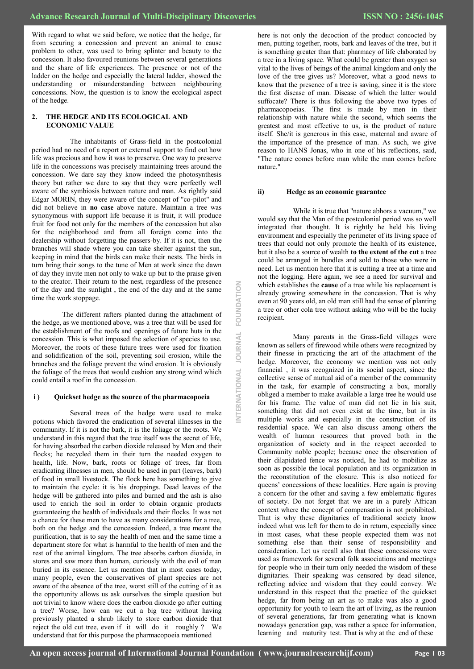With regard to what we said before, we notice that the hedge, far from securing a concession and prevent an animal to cause problem to other, was used to bring splinter and beauty to the concession. It also favoured reunions between several generations and the share of life experiences. The presence or not of the ladder on the hedge and especially the lateral ladder, showed the understanding or misunderstanding between neighbouring concessions. Now, the question is to know the ecological aspect of the hedge.

## **2. THE HEDGE AND ITS ECOLOGICAL AND ECONOMIC VALUE**

The inhabitants of Grass-field in the postcolonial period had no need of a report or external support to find out how life was precious and how it was to preserve. One way to preserve life in the concessions was precisely maintaining trees around the concession. We dare say they know indeed the photosynthesis theory but rather we dare to say that they were perfectly well aware of the symbiosis between nature and man. As rightly said Edgar MORIN, they were aware of the concept of "co-pilot" and did not believe in **no case** above nature. Maintain a tree was synonymous with support life because it is fruit, it will produce fruit for food not only for the members of the concession but also for the neighborhood and from all foreign come into the dealership without forgetting the passers-by. If it is not, then the branches will shade where you can take shelter against the sun, keeping in mind that the birds can make their nests. The birds in turn bring their songs to the tune of Men at work since the dawn of day they invite men not only to wake up but to the praise given to the creator. Their return to the nest, regardless of the presence of the day and the sunlight , the end of the day and at the same time the work stoppage.

The different rafters planted during the attachment of the hedge, as we mentioned above, was a tree that will be used for the establishment of the roofs and openings of future huts in the concession. This is what imposed the selection of species to use. Moreover, the roots of these future trees were used for fixation and solidification of the soil, preventing soil erosion, while the branches and the foliage prevent the wind erosion. It is obviously the foliage of the trees that would cushion any strong wind which could entail a roof in the concession.

#### **i ) Quickset hedge as the source of the pharmacopoeia**

Several trees of the hedge were used to make potions which favored the eradication of several illnesses in the community. If it is not the bark, it is the foliage or the roots. We understand in this regard that the tree itself was the secret of life, for having absorbed the carbon dioxide released by Men and their flocks; he recycled them in their turn the needed oxygen to health, life. Now, bark, roots or foliage of trees, far from eradicating illnesses in men, should be used in part (leaves, bark) of food in small livestock. The flock here has something to give to maintain the cycle: it is his droppings. Dead leaves of the hedge will be gathered into piles and burned and the ash is also used to enrich the soil in order to obtain organic products guaranteeing the health of individuals and their flocks. It was not a chance for these men to have as many considerations for a tree, both on the hedge and the concession. Indeed, a tree meant the purification, that is to say the health of men and the same time a department store for what is harmful to the health of men and the rest of the animal kingdom. The tree absorbs carbon dioxide, in stores and saw more than human, curiously with the evil of man buried in its essence. Let us mention that in most cases today, many people, even the conservatives of plant species are not aware of the absence of the tree, worst still of the cutting of it as the opportunity allows us ask ourselves the simple question but not trivial to know where does the carbon dioxide go after cutting a tree? Worse, how can we cut a big tree without having previously planted a shrub likely to store carbon dioxide that reject the old cut tree, even if it will do it roughly ? We understand that for this purpose the pharmacopoeia mentioned

here is not only the decoction of the product concocted by men, putting together, roots, bark and leaves of the tree, but it is something greater than that: pharmacy of life elaborated by a tree in a living space. What could be greater than oxygen so vital to the lives of beings of the animal kingdom and only the love of the tree gives us? Moreover, what a good news to know that the presence of a tree is saving, since it is the store the first disease of man. Disease of which the latter would suffocate? There is thus following the above two types of pharmacopoeias. The first is made by men in their relationship with nature while the second, which seems the greatest and most effective to us, is the product of nature itself. She/it is generous in this case, maternal and aware of the importance of the presence of man. As such, we give reason to HANS Jonas, who in one of his reflections, said, "The nature comes before man while the man comes before nature."

#### **ii) Hedge as an economic guarantee**

While it is true that "nature abhors a vacuum," we would say that the Man of the postcolonial period was so well integrated that thought. It is rightly he held his living environment and especially the perimeter of its living space of trees that could not only promote the health of its existence, but it also be a source of wealth **to the extent of the cut** a tree could be arranged in bundles and sold to those who were in need. Let us mention here that it is cutting a tree at a time and not the logging. Here again, we see a need for survival and which establishes the **cause** of a tree while his replacement is already growing somewhere in the concession. That is why even at 90 years old, an old man still had the sense of planting a tree or other cola tree without asking who will be the lucky recipient.

Many parents in the Grass-field villages were known as sellers of firewood while others were recognized by their finesse in practicing the art of the attachment of the hedge. Moreover, the economy we mention was not only financial , it was recognized in its social aspect, since the collective sense of mutual aid of a member of the community in the task, for example of constructing a box, morally obliged a member to make available a large tree he would use for his frame. The value of man did not lie in his suit, something that did not even exist at the time, but in its multiple works and especially in the construction of its residential space. We can also discuss among others the wealth of human resources that proved both in the organization of society and in the respect accorded to Community noble people; because once the observation of their dilapidated fence was noticed, he had to mobilize as soon as possible the local population and its organization in the reconstitution of the closure. This is also noticed for queens' concessions of these localities. Here again is proving a concern for the other and saving a few emblematic figures of society. Do not forget that we are in a purely African context where the concept of compensation is not prohibited. That is why these dignitaries of traditional society know indeed what was left for them to do in return, especially since in most cases, what these people expected them was not something else than their sense of responsibility and consideration. Let us recall also that these concessions were used as framework for several folk associations and meetings for people who in their turn only needed the wisdom of these dignitaries. Their speaking was censored by dead silence, reflecting advice and wisdom that they could convey. We understand in this respect that the practice of the quickset hedge, far from being an art as to make was also a good opportunity for youth to learn the art of living, as the reunion of several generations, far from generating what is known nowadays generation gap, was rather a space for information, learning and maturity test. That is why at the end of these

**INTERNATIONAL JOURNAL FOUNDATION**

**JOURNAL** 

NTERNATIONAL

FOUNDATION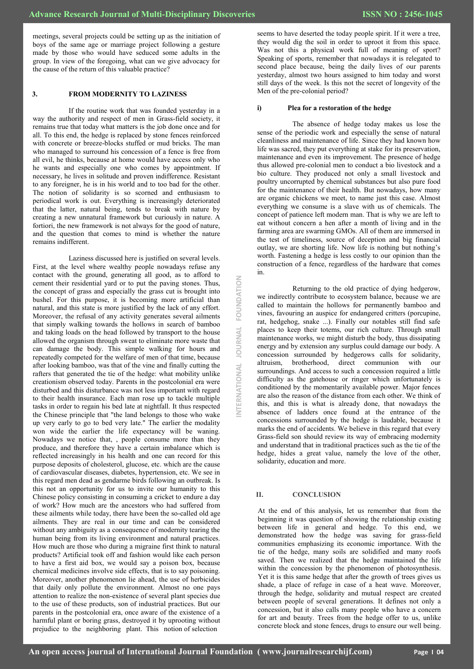meetings, several projects could be setting up as the initiation of boys of the same age or marriage project following a gesture made by those who would have seduced some adults in the group. In view of the foregoing, what can we give advocacy for the cause of the return of this valuable practice?

## **3. FROM MODERNITY TO LAZINESS**

If the routine work that was founded yesterday in a way the authority and respect of men in Grass-field society, it remains true that today what matters is the job done once and for all. To this end, the hedge is replaced by stone fences reinforced with concrete or breeze-blocks stuffed or mud bricks. The man who managed to surround his concession of a fence is free from all evil, he thinks, because at home would have access only who he wants and especially one who comes by appointment. If necessary, he lives in solitude and proven indifference. Resistant to any foreigner, he is in his world and to too bad for the other. The notion of solidarity is so scorned and enthusiasm to periodical work is out. Everything is increasingly deteriorated that the latter, natural being, tends to break with nature by creating a new unnatural framework but curiously in nature. A fortiori, the new framework is not always for the good of nature, and the question that comes to mind is whether the nature remains indifferent.

Laziness discussed here is justified on several levels. First, at the level where wealthy people nowadays refuse any contact with the ground, generating all good, as to afford to cement their residential yard or to put the paving stones. Thus, the concept of grass and especially the grass cut is brought into bushel. For this purpose, it is becoming more artificial than natural, and this state is more justified by the lack of any effort. Moreover, the refusal of any activity generates several ailments that simply walking towards the hollows in search of bamboo and taking loads on the head followed by transport to the house allowed the organism through sweat to eliminate more waste that can damage the body. This simple walking for hours and repeatedly competed for the welfare of men of that time, because after looking bamboo, was that of the vine and finally cutting the rafters that generated the tie of the hedge: what mobility unlike creationism observed today. Parents in the postcolonial era were disturbed and this disturbance was not less important with regard to their health insurance. Each man rose up to tackle multiple tasks in order to regain his bed late at nightfall. It thus respected the Chinese principle that "the land belongs to those who wake up very early to go to bed very late." The earlier the modality won wide the earlier the life expectancy will be waning. Nowadays we notice that, , people consume more than they produce, and therefore they have a certain imbalance which is reflected increasingly in his health and one can record for this purpose deposits of cholesterol, glucose, etc. which are the cause of cardiovascular diseases, diabetes, hypertension, etc. We see in this regard men dead as gendarme birds following an outbreak. Is this not an opportunity for us to invite our humanity to this Chinese policy consisting in consuming a cricket to endure a day of work? How much are the ancestors who had suffered from these ailments while today, there have been the so-called old age ailments. They are real in our time and can be considered without any ambiguity as a consequence of modernity tearing the human being from its living environment and natural practices. How much are those who during a migraine first think to natural products? Artificial took off and fashion would like each person to have a first aid box, we would say a poison box, because chemical medicines involve side effects, that is to say poisoning. Moreover, another phenomenon lie ahead, the use of herbicides that daily only pollute the environment. Almost no one pays attention to realize the non-existence of several plant species due to the use of these products, son of industrial practices. But our parents in the postcolonial era, once aware of the existence of a harmful plant or boring grass, destroyed it by uprooting without prejudice to the neighboring plant. This notion of selection

## **i) Plea for a restoration of the hedge**

The absence of hedge today makes us lose the sense of the periodic work and especially the sense of natural cleanliness and maintenance of life. Since they had known how life was sacred, they put everything at stake for its preservation, maintenance and even its improvement. The presence of hedge thus allowed pre-colonial men to conduct a bio livestock and a bio culture. They produced not only a small livestock and poultry uncorrupted by chemical substances but also pure food for the maintenance of their health. But nowadays, how many are organic chickens we meet, to name just this case. Almost everything we consume is a slave with us of chemicals. The concept of patience left modern man. That is why we are left to eat without concern a hen after a month of living and in the farming area are swarming GMOs. All of them are immersed in the test of timeliness, source of deception and big financial outlay, we are shorting life. Now life is nothing but nothing's worth. Fastening a hedge is less costly to our opinion than the construction of a fence, regardless of the hardware that comes in.

Returning to the old practice of dying hedgerow, we indirectly contribute to ecosystem balance, because we are called to maintain the hollows for permanently bamboo and vines, favouring an auspice for endangered critters (porcupine, rat, hedgehog, snake ...). Finally our notables still find safe places to keep their totems, our rich culture. Through small maintenance works, we might disturb the body, thus dissipating energy and by extension any surplus could damage our body. A concession surrounded by hedgerows calls for solidarity, altruism, brotherhood, direct communion with our surroundings. And access to such a concession required a little difficulty as the gatehouse or ringer which unfortunately is conditioned by the momentarily available power. Major fences are also the reason of the distance from each other. We think of this, and this is what is already done, that nowadays the absence of ladders once found at the entrance of the concessions surrounded by the hedge is laudable, because it marks the end of accidents. We believe in this regard that every Grass-field son should review its way of embracing modernity and understand that in traditional practices such as the tie of the hedge, hides a great value, namely the love of the other, solidarity, education and more.

#### **II. CONCLUSION**

**INTERNATIONAL JOURNAL FOUNDATION**

JOURNAL

NTERNATIONAL

FOUNDATION

At the end of this analysis, let us remember that from the beginning it was question of showing the relationship existing between life in general and hedge. To this end, we demonstrated how the hedge was saving for grass-field communities emphasizing its economic importance. With the tie of the hedge, many soils are solidified and many roofs saved. Then we realized that the hedge maintained the life within the concession by the phenomenon of photosynthesis. Yet it is this same hedge that after the growth of trees gives us shade, a place of refuge in case of a heat wave. Moreover, through the hedge, solidarity and mutual respect are created between people of several generations. It defines not only a concession, but it also calls many people who have a concern for art and beauty. Trees from the hedge offer to us, unlike concrete block and stone fences, drugs to ensure our well being.